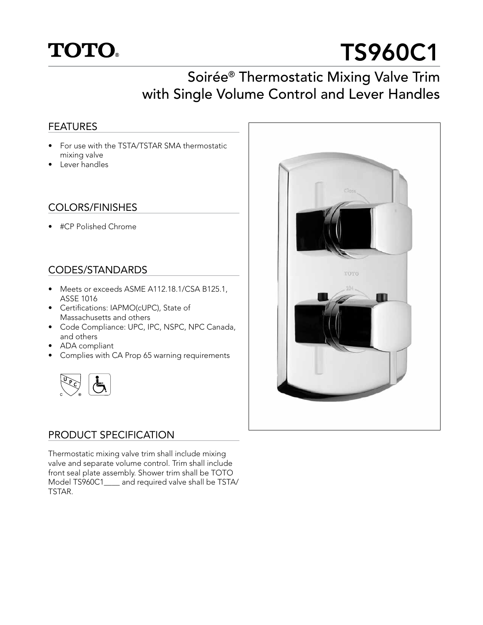

# TS960C1

# Soirée® Thermostatic Mixing Valve Trim with Single Volume Control and Lever Handles

## FEATURES

- For use with the TSTA/TSTAR SMA thermostatic mixing valve
- Lever handles

#### COLORS/FINISHES

• #CP Polished Chrome

# CODES/STANDARDS

- Meets or exceeds ASME A112.18.1/CSA B125.1, ASSE 1016
- Certifications: IAPMO(cUPC), State of Massachusetts and others
- Code Compliance: UPC, IPC, NSPC, NPC Canada, and others
- ADA compliant
- Complies with CA Prop 65 warning requirements



### PRODUCT SPECIFICATION

Thermostatic mixing valve trim shall include mixing valve and separate volume control. Trim shall include front seal plate assembly. Shower trim shall be TOTO Model TS960C1\_\_\_\_ and required valve shall be TSTA/ TSTAR.